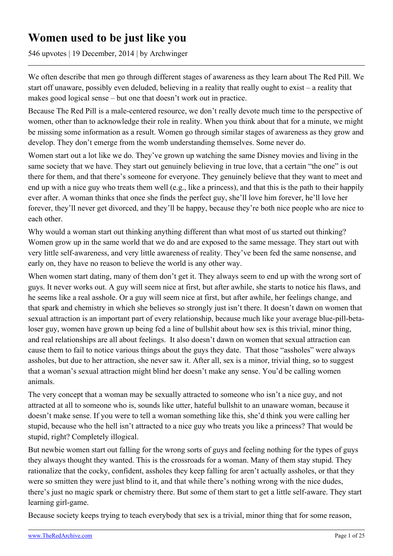# **Women used to be just like you**

546 upvotes | 19 December, 2014 | by Archwinger

We often describe that men go through different stages of awareness as they learn about The Red Pill. We start off unaware, possibly even deluded, believing in a reality that really ought to exist – a reality that makes good logical sense – but one that doesn't work out in practice.

Because The Red Pill is a male-centered resource, we don't really devote much time to the perspective of women, other than to acknowledge their role in reality. When you think about that for a minute, we might be missing some information as a result. Women go through similar stages of awareness as they grow and develop. They don't emerge from the womb understanding themselves. Some never do.

Women start out a lot like we do. They've grown up watching the same Disney movies and living in the same society that we have. They start out genuinely believing in true love, that a certain "the one" is out there for them, and that there's someone for everyone. They genuinely believe that they want to meet and end up with a nice guy who treats them well (e.g., like a princess), and that this is the path to their happily ever after. A woman thinks that once she finds the perfect guy, she'll love him forever, he'll love her forever, they'll never get divorced, and they'll be happy, because they're both nice people who are nice to each other.

Why would a woman start out thinking anything different than what most of us started out thinking? Women grow up in the same world that we do and are exposed to the same message. They start out with very little self-awareness, and very little awareness of reality. They've been fed the same nonsense, and early on, they have no reason to believe the world is any other way.

When women start dating, many of them don't get it. They always seem to end up with the wrong sort of guys. It never works out. A guy will seem nice at first, but after awhile, she starts to notice his flaws, and he seems like a real asshole. Or a guy will seem nice at first, but after awhile, her feelings change, and that spark and chemistry in which she believes so strongly just isn't there. It doesn't dawn on women that sexual attraction is an important part of every relationship, because much like your average blue-pill-betaloser guy, women have grown up being fed a line of bullshit about how sex is this trivial, minor thing, and real relationships are all about feelings. It also doesn't dawn on women that sexual attraction can cause them to fail to notice various things about the guys they date. That those "assholes" were always assholes, but due to her attraction, she never saw it. After all, sex is a minor, trivial thing, so to suggest that a woman's sexual attraction might blind her doesn't make any sense. You'd be calling women animals.

The very concept that a woman may be sexually attracted to someone who isn't a nice guy, and not attracted at all to someone who is, sounds like utter, hateful bullshit to an unaware woman, because it doesn't make sense. If you were to tell a woman something like this, she'd think you were calling her stupid, because who the hell isn't attracted to a nice guy who treats you like a princess? That would be stupid, right? Completely illogical.

But newbie women start out falling for the wrong sorts of guys and feeling nothing for the types of guys they always thought they wanted. This is the crossroads for a woman. Many of them stay stupid. They rationalize that the cocky, confident, assholes they keep falling for aren't actually assholes, or that they were so smitten they were just blind to it, and that while there's nothing wrong with the nice dudes, there's just no magic spark or chemistry there. But some of them start to get a little self-aware. They start learning girl-game.

Because society keeps trying to teach everybody that sex is a trivial, minor thing that for some reason,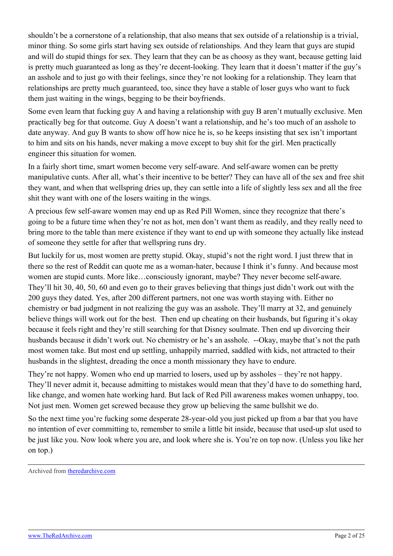shouldn't be a cornerstone of a relationship, that also means that sex outside of a relationship is a trivial, minor thing. So some girls start having sex outside of relationships. And they learn that guys are stupid and will do stupid things for sex. They learn that they can be as choosy as they want, because getting laid is pretty much guaranteed as long as they're decent-looking. They learn that it doesn't matter if the guy's an asshole and to just go with their feelings, since they're not looking for a relationship. They learn that relationships are pretty much guaranteed, too, since they have a stable of loser guys who want to fuck them just waiting in the wings, begging to be their boyfriends.

Some even learn that fucking guy A and having a relationship with guy B aren't mutually exclusive. Men practically beg for that outcome. Guy A doesn't want a relationship, and he's too much of an asshole to date anyway. And guy B wants to show off how nice he is, so he keeps insisting that sex isn't important to him and sits on his hands, never making a move except to buy shit for the girl. Men practically engineer this situation for women.

In a fairly short time, smart women become very self-aware. And self-aware women can be pretty manipulative cunts. After all, what's their incentive to be better? They can have all of the sex and free shit they want, and when that wellspring dries up, they can settle into a life of slightly less sex and all the free shit they want with one of the losers waiting in the wings.

A precious few self-aware women may end up as Red Pill Women, since they recognize that there's going to be a future time when they're not as hot, men don't want them as readily, and they really need to bring more to the table than mere existence if they want to end up with someone they actually like instead of someone they settle for after that wellspring runs dry.

But luckily for us, most women are pretty stupid. Okay, stupid's not the right word. I just threw that in there so the rest of Reddit can quote me as a woman-hater, because I think it's funny. And because most women are stupid cunts. More like…consciously ignorant, maybe? They never become self-aware. They'll hit 30, 40, 50, 60 and even go to their graves believing that things just didn't work out with the 200 guys they dated. Yes, after 200 different partners, not one was worth staying with. Either no chemistry or bad judgment in not realizing the guy was an asshole. They'll marry at 32, and genuinely believe things will work out for the best. Then end up cheating on their husbands, but figuring it's okay because it feels right and they're still searching for that Disney soulmate. Then end up divorcing their husbands because it didn't work out. No chemistry or he's an asshole. --Okay, maybe that's not the path most women take. But most end up settling, unhappily married, saddled with kids, not attracted to their husbands in the slightest, dreading the once a month missionary they have to endure.

They're not happy. Women who end up married to losers, used up by assholes – they're not happy. They'll never admit it, because admitting to mistakes would mean that they'd have to do something hard, like change, and women hate working hard. But lack of Red Pill awareness makes women unhappy, too. Not just men. Women get screwed because they grow up believing the same bullshit we do.

So the next time you're fucking some desperate 28-year-old you just picked up from a bar that you have no intention of ever committing to, remember to smile a little bit inside, because that used-up slut used to be just like you. Now look where you are, and look where she is. You're on top now. (Unless you like her on top.)

Archived from [theredarchive.com](https://theredarchive.com/r/TheRedPill/women-used-to-be-just-like-you.26664)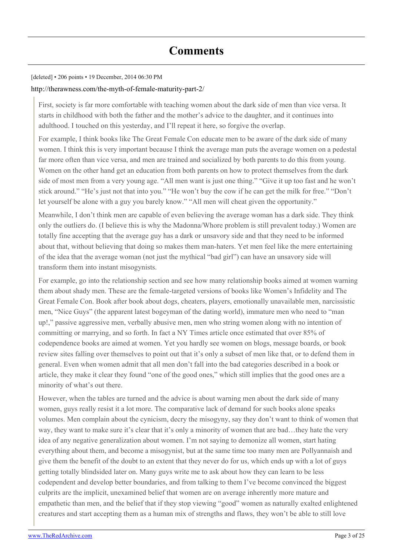# **Comments**

#### [deleted] • 206 points • 19 December, 2014 06:30 PM

#### <http://therawness.com/the-myth-of-female-maturity-part-2/>

First, society is far more comfortable with teaching women about the dark side of men than vice versa. It starts in childhood with both the father and the mother's advice to the daughter, and it continues into adulthood. I touched on this yesterday, and I'll repeat it here, so forgive the overlap.

For example, I think books like The Great Female Con educate men to be aware of the dark side of many women. I think this is very important because I think the average man puts the average women on a pedestal far more often than vice versa, and men are trained and socialized by both parents to do this from young. Women on the other hand get an education from both parents on how to protect themselves from the dark side of most men from a very young age. "All men want is just one thing." "Give it up too fast and he won't stick around." "He's just not that into you." "He won't buy the cow if he can get the milk for free." "Don't let yourself be alone with a guy you barely know." "All men will cheat given the opportunity."

Meanwhile, I don't think men are capable of even believing the average woman has a dark side. They think only the outliers do. (I believe this is why the Madonna/Whore problem is still prevalent today.) Women are totally fine accepting that the average guy has a dark or unsavory side and that they need to be informed about that, without believing that doing so makes them man-haters. Yet men feel like the mere entertaining of the idea that the average woman (not just the mythical "bad girl") can have an unsavory side will transform them into instant misogynists.

For example, go into the relationship section and see how many relationship books aimed at women warning them about shady men. These are the female-targeted versions of books like Women's Infidelity and The Great Female Con. Book after book about dogs, cheaters, players, emotionally unavailable men, narcissistic men, "Nice Guys" (the apparent latest bogeyman of the dating world), immature men who need to "man up!," passive aggressive men, verbally abusive men, men who string women along with no intention of committing or marrying, and so forth. In fact a NY Times article once estimated that over 85% of codependence books are aimed at women. Yet you hardly see women on blogs, message boards, or book review sites falling over themselves to point out that it's only a subset of men like that, or to defend them in general. Even when women admit that all men don't fall into the bad categories described in a book or article, they make it clear they found "one of the good ones," which still implies that the good ones are a minority of what's out there.

However, when the tables are turned and the advice is about warning men about the dark side of many women, guys really resist it a lot more. The comparative lack of demand for such books alone speaks volumes. Men complain about the cynicism, decry the misogyny, say they don't want to think of women that way, they want to make sure it's clear that it's only a minority of women that are bad…they hate the very idea of any negative generalization about women. I'm not saying to demonize all women, start hating everything about them, and become a misogynist, but at the same time too many men are Pollyannaish and give them the benefit of the doubt to an extent that they never do for us, which ends up with a lot of guys getting totally blindsided later on. Many guys write me to ask about how they can learn to be less codependent and develop better boundaries, and from talking to them I've become convinced the biggest culprits are the implicit, unexamined belief that women are on average inherently more mature and empathetic than men, and the belief that if they stop viewing "good" women as naturally exalted enlightened creatures and start accepting them as a human mix of strengths and flaws, they won't be able to still love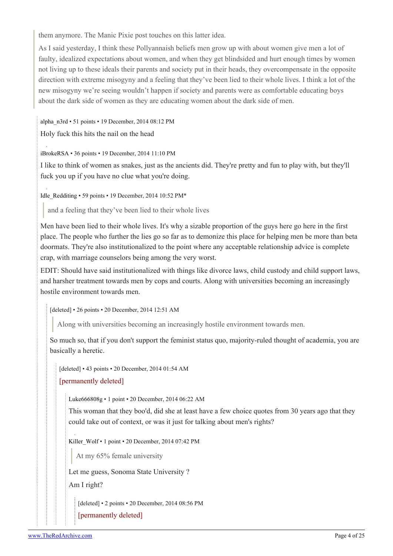them anymore. The Manic Pixie post touches on this latter idea.

As I said yesterday, I think these Pollyannaish beliefs men grow up with about women give men a lot of faulty, idealized expectations about women, and when they get blindsided and hurt enough times by women not living up to these ideals their parents and society put in their heads, they overcompensate in the opposite direction with extreme misogyny and a feeling that they've been lied to their whole lives. I think a lot of the new misogyny we're seeing wouldn't happen if society and parents were as comfortable educating boys about the dark side of women as they are educating women about the dark side of men.

[alpha\\_n3rd](https://old.reddit.com/user/alpha_n3rd) • 51 points • 19 December, 2014 08:12 PM

Holy fuck this hits the nail on the head

[iBrokeRSA](https://old.reddit.com/user/iBrokeRSA) • 36 points • 19 December, 2014 11:10 PM

I like to think of women as snakes, just as the ancients did. They're pretty and fun to play with, but they'll fuck you up if you have no clue what you're doing.

Idle Redditing • 59 points • 19 December, 2014 10:52 PM $*$ 

and a feeling that they've been lied to their whole lives

Men have been lied to their whole lives. It's why a sizable proportion of the guys here go here in the first place. The people who further the lies go so far as to demonize this place for helping men be more than beta doormats. They're also institutionalized to the point where any acceptable relationship advice is complete crap, with marriage counselors being among the very worst.

EDIT: Should have said institutionalized with things like divorce laws, child custody and child support laws, and harsher treatment towards men by cops and courts. Along with universities becoming an increasingly hostile environment towards men.

[deleted] • 26 points • 20 December, 2014 12:51 AM

Along with universities becoming an increasingly hostile environment towards men.

So much so, that if you don't support the feminist status quo, majority-ruled thought of academia, you are basically a heretic.

[deleted] • 43 points • 20 December, 2014 01:54 AM

[permanently deleted]

[Luke666808g](https://old.reddit.com/user/Luke666808g) • 1 point • 20 December, 2014 06:22 AM

This woman that they boo'd, did she at least have a few choice quotes from 30 years ago that they could take out of context, or was it just for talking about men's rights?

[Killer\\_Wolf](https://old.reddit.com/user/Killer_Wolf) • 1 point • 20 December, 2014 07:42 PM

At my 65% female university

Let me guess, Sonoma State University ?

Am I right?

[deleted] • 2 points • 20 December, 2014 08:56 PM

[permanently deleted]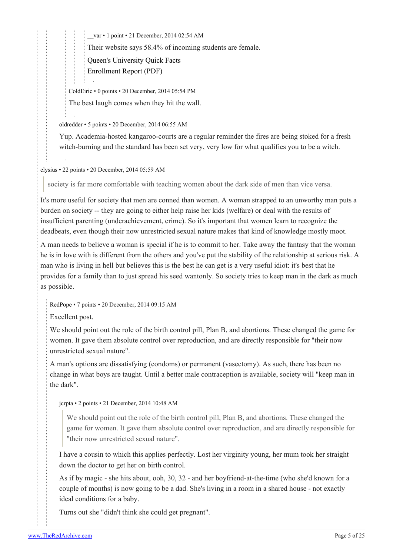var • 1 point • 21 December, 2014 02:54 AM

Their website says 58.4% of incoming students are female.

[Queen's University Quick Facts](http://www.queensu.ca/discover/quickfacts) [Enrollment Report \(PDF\)](http://www.queensu.ca/mc_administrator/sites/default/files/assets/pages/discover/Queen%27s%20University%2013-14%20Enrolment%20Report.pdf)

[ColdEiric](https://old.reddit.com/user/ColdEiric) • 0 points • 20 December, 2014 05:54 PM

The best laugh comes when they hit the wall.

[oldredder](https://old.reddit.com/user/oldredder) • 5 points • 20 December, 2014 06:55 AM

Yup. Academia-hosted kangaroo-courts are a regular reminder the fires are being stoked for a fresh witch-burning and the standard has been set very, very low for what qualifies you to be a witch.

[elysius](https://old.reddit.com/user/elysius) • 22 points • 20 December, 2014 05:59 AM

society is far more comfortable with teaching women about the dark side of men than vice versa.

It's more useful for society that men are conned than women. A woman strapped to an unworthy man puts a burden on society -- they are going to either help raise her kids (welfare) or deal with the results of insufficient parenting (underachievement, crime). So it's important that women learn to recognize the deadbeats, even though their now unrestricted sexual nature makes that kind of knowledge mostly moot.

A man needs to believe a woman is special if he is to commit to her. Take away the fantasy that the woman he is in love with is different from the others and you've put the stability of the relationship at serious risk. A man who is living in hell but believes this is the best he can get is a very useful idiot: it's best that he provides for a family than to just spread his seed wantonly. So society tries to keep man in the dark as much as possible.

[RedPope](https://old.reddit.com/user/RedPope) • 7 points • 20 December, 2014 09:15 AM

Excellent post.

We should point out the role of the birth control pill, Plan B, and abortions. These changed the game for women. It gave them absolute control over reproduction, and are directly responsible for "their now unrestricted sexual nature".

A man's options are dissatisfying (condoms) or permanent (vasectomy). As such, there has been no change in what boys are taught. Until a better male contraception is available, society will "keep man in the dark".

[jcrpta](https://old.reddit.com/user/jcrpta) • 2 points • 21 December, 2014 10:48 AM

We should point out the role of the birth control pill, Plan B, and abortions. These changed the game for women. It gave them absolute control over reproduction, and are directly responsible for "their now unrestricted sexual nature".

I have a cousin to which this applies perfectly. Lost her virginity young, her mum took her straight down the doctor to get her on birth control.

As if by magic - she hits about, ooh, 30, 32 - and her boyfriend-at-the-time (who she'd known for a couple of months) is now going to be a dad. She's living in a room in a shared house - not exactly ideal conditions for a baby.

Turns out she "didn't think she could get pregnant".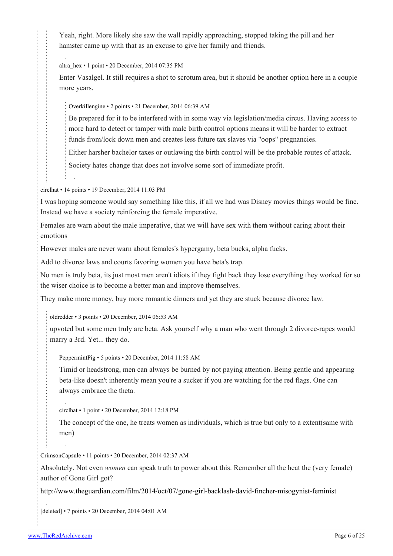Yeah, right. More likely she saw the wall rapidly approaching, stopped taking the pill and her hamster came up with that as an excuse to give her family and friends.

[altra\\_hex](https://old.reddit.com/user/altra_hex) • 1 point • 20 December, 2014 07:35 PM

Enter Vasalgel. It still requires a shot to scrotum area, but it should be another option here in a couple more years.

[Overkillengine](https://old.reddit.com/user/Overkillengine) • 2 points • 21 December, 2014 06:39 AM

Be prepared for it to be interfered with in some way via legislation/media circus. Having access to more hard to detect or tamper with male birth control options means it will be harder to extract funds from/lock down men and creates less future tax slaves via "oops" pregnancies.

Either harsher bachelor taxes or outlawing the birth control will be the probable routes of attack.

Society hates change that does not involve some sort of immediate profit.

[circlhat](https://old.reddit.com/user/circlhat) • 14 points • 19 December, 2014 11:03 PM

I was hoping someone would say something like this, if all we had was Disney movies things would be fine. Instead we have a society reinforcing the female imperative.

Females are warn about the male imperative, that we will have sex with them without caring about their emotions

However males are never warn about females's hypergamy, beta bucks, alpha fucks.

Add to divorce laws and courts favoring women you have beta's trap.

No men is truly beta, its just most men aren't idiots if they fight back they lose everything they worked for so the wiser choice is to become a better man and improve themselves.

They make more money, buy more romantic dinners and yet they are stuck because divorce law.

[oldredder](https://old.reddit.com/user/oldredder) • 3 points • 20 December, 2014 06:53 AM

upvoted but some men truly are beta. Ask yourself why a man who went through 2 divorce-rapes would marry a 3rd. Yet... they do.

[PeppermintPig](https://old.reddit.com/user/PeppermintPig) • 5 points • 20 December, 2014 11:58 AM

Timid or headstrong, men can always be burned by not paying attention. Being gentle and appearing beta-like doesn't inherently mean you're a sucker if you are watching for the red flags. One can always embrace the theta.

[circlhat](https://old.reddit.com/user/circlhat) • 1 point • 20 December, 2014 12:18 PM

The concept of the one, he treats women as individuals, which is true but only to a extent(same with men)

[CrimsonCapsule](https://old.reddit.com/user/CrimsonCapsule) • 11 points • 20 December, 2014 02:37 AM

Absolutely. Not even *women* can speak truth to power about this. Remember all the heat the (very female) author of Gone Girl got?

<http://www.theguardian.com/film/2014/oct/07/gone-girl-backlash-david-fincher-misogynist-feminist>

[deleted] • 7 points • 20 December, 2014 04:01 AM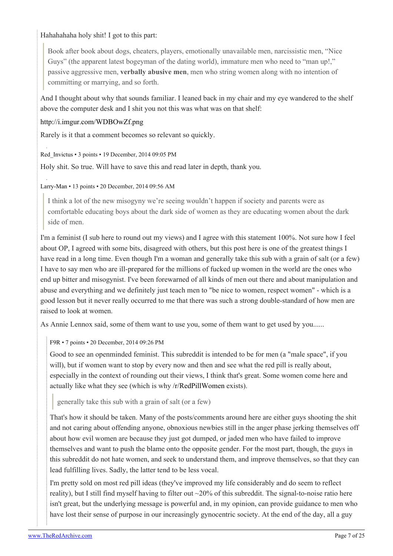Hahahahaha holy shit! I got to this part:

Book after book about dogs, cheaters, players, emotionally unavailable men, narcissistic men, "Nice Guys" (the apparent latest bogeyman of the dating world), immature men who need to "man up!," passive aggressive men, **verbally abusive men**, men who string women along with no intention of committing or marrying, and so forth.

And I thought about why that sounds familiar. I leaned back in my chair and my eye wandered to the shelf above the computer desk and I shit you not this was what was on that shelf:

## <http://i.imgur.com/WDBOwZf.png>

Rarely is it that a comment becomes so relevant so quickly.

[Red\\_Invictus](https://old.reddit.com/user/Red_Invictus) • 3 points • 19 December, 2014 09:05 PM

Holy shit. So true. Will have to save this and read later in depth, thank you.

[Larry-Man](https://old.reddit.com/user/Larry-Man) • 13 points • 20 December, 2014 09:56 AM

I think a lot of the new misogyny we're seeing wouldn't happen if society and parents were as comfortable educating boys about the dark side of women as they are educating women about the dark side of men.

I'm a feminist (I sub here to round out my views) and I agree with this statement 100%. Not sure how I feel about OP, I agreed with some bits, disagreed with others, but this post here is one of the greatest things I have read in a long time. Even though I'm a woman and generally take this sub with a grain of salt (or a few) I have to say men who are ill-prepared for the millions of fucked up women in the world are the ones who end up bitter and misogynist. I've been forewarned of all kinds of men out there and about manipulation and abuse and everything and we definitely just teach men to "be nice to women, respect women" - which is a good lesson but it never really occurred to me that there was such a strong double-standard of how men are raised to look at women.

As Annie Lennox said, some of them want to use you, some of them want to get used by you......

## [F9R](https://old.reddit.com/user/F9R) • 7 points • 20 December, 2014 09:26 PM

Good to see an openminded feminist. This subreddit is intended to be for men (a "male space", if you will), but if women want to stop by every now and then and see what the red pill is really about, especially in the context of rounding out their views, I think that's great. Some women come here and actually like what they see (which is why [/r/RedPillWomen](https://theredarchive.com/r/RedPillWomen) exists).

generally take this sub with a grain of salt (or a few)

That's how it should be taken. Many of the posts/comments around here are either guys shooting the shit and not caring about offending anyone, obnoxious newbies still in the anger phase jerking themselves off about how evil women are because they just got dumped, or jaded men who have failed to improve themselves and want to push the blame onto the opposite gender. For the most part, though, the guys in this subreddit do not hate women, and seek to understand them, and improve themselves, so that they can lead fulfilling lives. Sadly, the latter tend to be less vocal.

I'm pretty sold on most red pill ideas (they've improved my life considerably and do seem to reflect reality), but I still find myself having to filter out  $\sim$ 20% of this subreddit. The signal-to-noise ratio here isn't great, but the underlying message is powerful and, in my opinion, can provide guidance to men who have lost their sense of purpose in our increasingly gynocentric society. At the end of the day, all a guy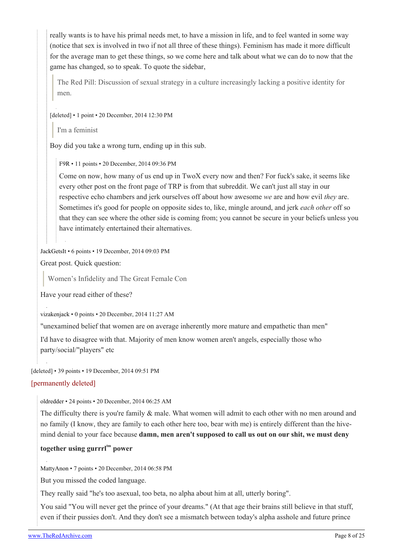really wants is to have his primal needs met, to have a mission in life, and to feel wanted in some way (notice that sex is involved in two if not all three of these things). Feminism has made it more difficult for the average man to get these things, so we come here and talk about what we can do to now that the game has changed, so to speak. To quote the sidebar,

The Red Pill: Discussion of sexual strategy in a culture increasingly lacking a positive identity for men.

[deleted] • 1 point • 20 December, 2014 12:30 PM

I'm a feminist

Boy did you take a wrong turn, ending up in this sub.

[F9R](https://old.reddit.com/user/F9R) • 11 points • 20 December, 2014 09:36 PM

Come on now, how many of us end up in TwoX every now and then? For fuck's sake, it seems like every other post on the front page of TRP is from that subreddit. We can't just all stay in our respective echo chambers and jerk ourselves off about how awesome *we* are and how evil *they* are. Sometimes it's good for people on opposite sides to, like, mingle around, and jerk *each other* off so that they can see where the other side is coming from; you cannot be secure in your beliefs unless you have intimately entertained their alternatives.

[JackGetsIt](https://old.reddit.com/user/JackGetsIt) • 6 points • 19 December, 2014 09:03 PM

Great post. Quick question:

Women's Infidelity and The Great Female Con

Have your read either of these?

[vizakenjack](https://old.reddit.com/user/vizakenjack) • 0 points • 20 December, 2014 11:27 AM

"unexamined belief that women are on average inherently more mature and empathetic than men"

I'd have to disagree with that. Majority of men know women aren't angels, especially those who party/social/"players" etc

[deleted] • 39 points • 19 December, 2014 09:51 PM

[permanently deleted]

[oldredder](https://old.reddit.com/user/oldredder) • 24 points • 20 December, 2014 06:25 AM

The difficulty there is you're family & male. What women will admit to each other with no men around and no family (I know, they are family to each other here too, bear with me) is entirely different than the hivemind denial to your face because **damn, men aren't supposed to call us out on our shit, we must deny**

## **together using gurrrltm power**

[MattyAnon](https://old.reddit.com/user/MattyAnon) • 7 points • 20 December, 2014 06:58 PM

But you missed the coded language.

They really said "he's too asexual, too beta, no alpha about him at all, utterly boring".

You said "You will never get the prince of your dreams." (At that age their brains still believe in that stuff, even if their pussies don't. And they don't see a mismatch between today's alpha asshole and future prince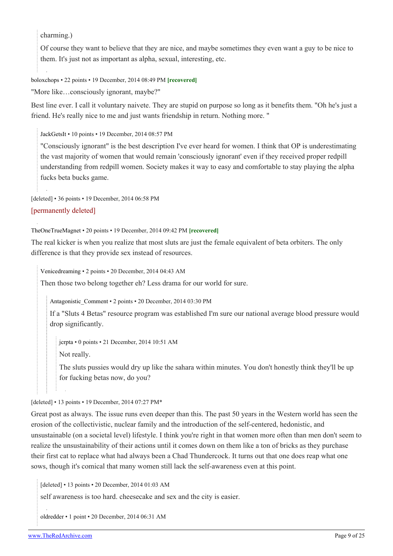charming.)

Of course they want to believe that they are nice, and maybe sometimes they even want a guy to be nice to them. It's just not as important as alpha, sexual, interesting, etc.

[boloxchops](https://old.reddit.com/user/boloxchops) • 22 points • 19 December, 2014 08:49 PM **[recovered]**

"More like…consciously ignorant, maybe?"

Best line ever. I call it voluntary naivete. They are stupid on purpose so long as it benefits them. "Oh he's just a friend. He's really nice to me and just wants friendship in return. Nothing more. "

[JackGetsIt](https://old.reddit.com/user/JackGetsIt) • 10 points • 19 December, 2014 08:57 PM

"Consciously ignorant" is the best description I've ever heard for women. I think that OP is underestimating the vast majority of women that would remain 'consciously ignorant' even if they received proper redpill understanding from redpill women. Society makes it way to easy and comfortable to stay playing the alpha fucks beta bucks game.

[deleted] • 36 points • 19 December, 2014 06:58 PM

## [permanently deleted]

[TheOneTrueMagnet](https://old.reddit.com/user/TheOneTrueMagnet) • 20 points • 19 December, 2014 09:42 PM **[recovered]**

The real kicker is when you realize that most sluts are just the female equivalent of beta orbiters. The only difference is that they provide sex instead of resources.

[Venicedreaming](https://old.reddit.com/user/Venicedreaming) • 2 points • 20 December, 2014 04:43 AM

Then those two belong together eh? Less drama for our world for sure.

[Antagonistic\\_Comment](https://old.reddit.com/user/Antagonistic_Comment) • 2 points • 20 December, 2014 03:30 PM

If a "Sluts 4 Betas" resource program was established I'm sure our national average blood pressure would drop significantly.

[jcrpta](https://old.reddit.com/user/jcrpta) • 0 points • 21 December, 2014 10:51 AM

Not really.

The sluts pussies would dry up like the sahara within minutes. You don't honestly think they'll be up for fucking betas now, do you?

[deleted] • 13 points • 19 December, 2014 07:27 PM\*

Great post as always. The issue runs even deeper than this. The past 50 years in the Western world has seen the erosion of the collectivistic, nuclear family and the introduction of the self-centered, hedonistic, and unsustainable (on a societal level) lifestyle. I think you're right in that women more often than men don't seem to realize the unsustainability of their actions until it comes down on them like a ton of bricks as they purchase their first cat to replace what had always been a Chad Thundercock. It turns out that one does reap what one sows, though it's comical that many women still lack the self-awareness even at this point.

[deleted] • 13 points • 20 December, 2014 01:03 AM

self awareness is too hard. cheesecake and sex and the city is easier.

[oldredder](https://old.reddit.com/user/oldredder) • 1 point • 20 December, 2014 06:31 AM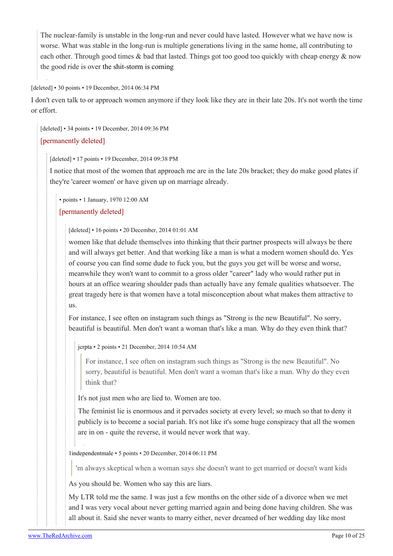The nuclear-family is unstable in the long-run and never could have lasted. However what we have now is worse. What was stable in the long-run is multiple generations living in the same home, all contributing to each other. Through good times & bad that lasted. Things got too good too quickly with cheap energy & now the good ride is over [the shit-storm is coming](http://youtu.be/q4iDurCE3Yk)

#### [deleted] • 30 points • 19 December, 2014 06:34 PM

I don't even talk to or approach women anymore if they look like they are in their late 20s. It's not worth the time or effort.

[deleted] • 34 points • 19 December, 2014 09:36 PM

## [permanently deleted]

[deleted] • 17 points • 19 December, 2014 09:38 PM

I notice that most of the women that approach me are in the late 20s bracket; they do make good plates if they're 'career women' or have given up on marriage already.

• points • 1 January, 1970 12:00 AM

## [permanently deleted]

[deleted] • 16 points • 20 December, 2014 01:01 AM

women like that delude themselves into thinking that their partner prospects will always be there and will always get better. And that working like a man is what a modern women should do. Yes of course you can find some dude to fuck you, but the guys you get will be worse and worse, meanwhile they won't want to commit to a gross older "career" lady who would rather put in hours at an office wearing shoulder pads than actually have any female qualities whatsoever. The great tragedy here is that women have a total misconception about what makes them attractive to us.

For instance, I see often on instagram such things as "Strong is the new Beautiful". No sorry, beautiful is beautiful. Men don't want a woman that's like a man. Why do they even think that?

[jcrpta](https://old.reddit.com/user/jcrpta) • 2 points • 21 December, 2014 10:54 AM

For instance, I see often on instagram such things as "Strong is the new Beautiful". No sorry, beautiful is beautiful. Men don't want a woman that's like a man. Why do they even think that?

It's not just men who are lied to. Women are too.

The feminist lie is enormous and it pervades society at every level; so much so that to deny it publicly is to become a social pariah. It's not like it's some huge conspiracy that all the women are in on - quite the reverse, it would never work that way.

[1independentmale](https://old.reddit.com/user/1independentmale) • 5 points • 20 December, 2014 06:11 PM

'm always skeptical when a woman says she doesn't want to get married or doesn't want kids

As you should be. Women who say this are liars.

My LTR told me the same. I was just a few months on the other side of a divorce when we met and I was very vocal about never getting married again and being done having children. She was all about it. Said she never wants to marry either, never dreamed of her wedding day like most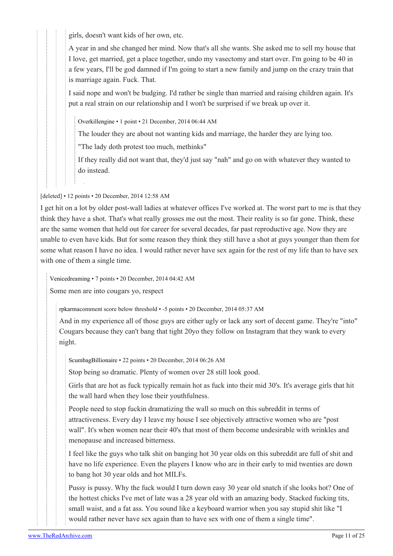girls, doesn't want kids of her own, etc.

A year in and she changed her mind. Now that's all she wants. She asked me to sell my house that I love, get married, get a place together, undo my vasectomy and start over. I'm going to be 40 in a few years, I'll be god damned if I'm going to start a new family and jump on the crazy train that is marriage again. Fuck. That.

I said nope and won't be budging. I'd rather be single than married and raising children again. It's put a real strain on our relationship and I won't be surprised if we break up over it.

[Overkillengine](https://old.reddit.com/user/Overkillengine) • 1 point • 21 December, 2014 06:44 AM

The louder they are about not wanting kids and marriage, the harder they are lying too.

"The lady doth protest too much, methinks"

If they really did not want that, they'd just say "nah" and go on with whatever they wanted to do instead.

[deleted] • 12 points • 20 December, 2014 12:58 AM

I get hit on a lot by older post-wall ladies at whatever offices I've worked at. The worst part to me is that they think they have a shot. That's what really grosses me out the most. Their reality is so far gone. Think, these are the same women that held out for career for several decades, far past reproductive age. Now they are unable to even have kids. But for some reason they think they still have a shot at guys younger than them for some what reason I have no idea. I would rather never have sex again for the rest of my life than to have sex with one of them a single time.

[Venicedreaming](https://old.reddit.com/user/Venicedreaming) • 7 points • 20 December, 2014 04:42 AM

Some men are into cougars yo, respect

[rpkarmac](https://old.reddit.com/user/rpkarma)omment score below threshold • -5 points • 20 December, 2014 05:37 AM

And in my experience all of those guys are either ugly or lack any sort of decent game. They're "into" Cougars because they can't bang that tight 20yo they follow on Instagram that they wank to every night.

[ScumbagBillionaire](https://old.reddit.com/user/ScumbagBillionaire) • 22 points • 20 December, 2014 06:26 AM

Stop being so dramatic. Plenty of women over 28 still look good.

Girls that are hot as fuck typically remain hot as fuck into their mid 30's. It's average girls that hit the wall hard when they lose their youthfulness.

People need to stop fuckin dramatizing the wall so much on this subreddit in terms of attractiveness. Every day I leave my house I see objectively attractive women who are "post wall". It's when women near their 40's that most of them become undesirable with wrinkles and menopause and increased bitterness.

I feel like the guys who talk shit on banging hot 30 year olds on this subreddit are full of shit and have no life experience. Even the players I know who are in their early to mid twenties are down to bang hot 30 year olds and hot MILFs.

Pussy is pussy. Why the fuck would I turn down easy 30 year old snatch if she looks hot? One of the hottest chicks I've met of late was a 28 year old with an amazing body. Stacked fucking tits, small waist, and a fat ass. You sound like a keyboard warrior when you say stupid shit like "I would rather never have sex again than to have sex with one of them a single time".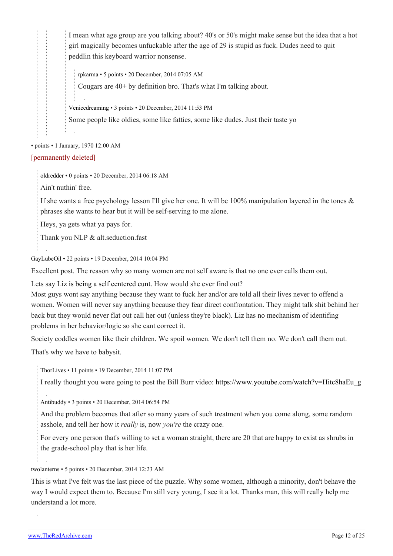I mean what age group are you talking about? 40's or 50's might make sense but the idea that a hot girl magically becomes unfuckable after the age of 29 is stupid as fuck. Dudes need to quit peddlin this keyboard warrior nonsense.

[rpkarma](https://old.reddit.com/user/rpkarma) • 5 points • 20 December, 2014 07:05 AM Cougars are 40+ by definition bro. That's what I'm talking about.

[Venicedreaming](https://old.reddit.com/user/Venicedreaming) • 3 points • 20 December, 2014 11:53 PM

Some people like oldies, some like fatties, some like dudes. Just their taste yo

• points • 1 January, 1970 12:00 AM

# [permanently deleted]

[oldredder](https://old.reddit.com/user/oldredder) • 0 points • 20 December, 2014 06:18 AM

Ain't nuthin' free.

If she wants a free psychology lesson I'll give her one. It will be 100% manipulation layered in the tones & phrases she wants to hear but it will be self-serving to me alone.

Heys, ya gets what ya pays for.

Thank you NLP & alt.seduction.fast

[GayLubeOil](https://old.reddit.com/user/GayLubeOil) • 22 points • 19 December, 2014 10:04 PM

Excellent post. The reason why so many women are not self aware is that no one ever calls them out.

Lets say [Liz is being a self centered cunt.](https://www.youtube.com/watch?v=dknqFLEFAW8) How would she ever find out?

Most guys wont say anything because they want to fuck her and/or are told all their lives never to offend a women. Women will never say anything because they fear direct confrontation. They might talk shit behind her back but they would never flat out call her out (unless they're black). Liz has no mechanism of identifing problems in her behavior/logic so she cant correct it.

Society coddles women like their children. We spoil women. We don't tell them no. We don't call them out. That's why we have to babysit.

[ThorLives](https://old.reddit.com/user/ThorLives) • 11 points • 19 December, 2014 11:07 PM

I really thought you were going to post the Bill Burr video: [https://www.youtube.com/watch?v=Hitc8haEu\\_g](https://www.youtube.com/watch?v=Hitc8haEu_g)

[Antibuddy](https://old.reddit.com/user/Antibuddy) • 3 points • 20 December, 2014 06:54 PM

And the problem becomes that after so many years of such treatment when you come along, some random asshole, and tell her how it *really* is, now *you're* the crazy one.

For every one person that's willing to set a woman straight, there are 20 that are happy to exist as shrubs in the grade-school play that is her life.

## [twolanterns](https://old.reddit.com/user/twolanterns) • 5 points • 20 December, 2014 12:23 AM

This is what I've felt was the last piece of the puzzle. Why some women, although a minority, don't behave the way I would expect them to. Because I'm still very young, I see it a lot. Thanks man, this will really help me understand a lot more.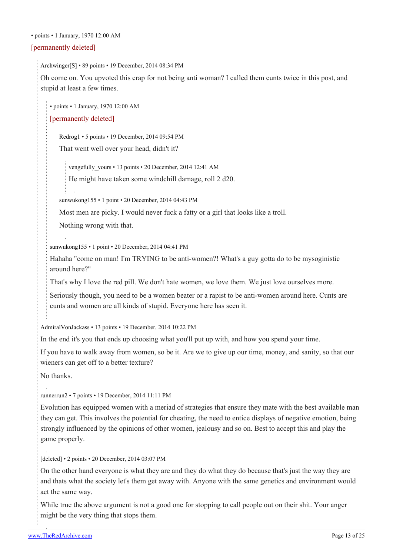#### • points • 1 January, 1970 12:00 AM

#### [permanently deleted]

[Archwinger](https://old.reddit.com/user/Archwinger)[\[S\]](https://theredarchive.com/r/TheRedPill/comments/2pt3j7/women_used_to_be_just_like_you/) • 89 points • 19 December, 2014 08:34 PM

Oh come on. You upvoted this crap for not being anti woman? I called them cunts twice in this post, and stupid at least a few times.

• points • 1 January, 1970 12:00 AM

## [permanently deleted]

[Redrog1](https://old.reddit.com/user/Redrog1) • 5 points • 19 December, 2014 09:54 PM

That went well over your head, didn't it?

[vengefully\\_yours](https://old.reddit.com/user/vengefully_yours) • 13 points • 20 December, 2014 12:41 AM He might have taken some windchill damage, roll 2 d20.

[sunwukong155](https://old.reddit.com/user/sunwukong155) • 1 point • 20 December, 2014 04:43 PM

Most men are picky. I would never fuck a fatty or a girl that looks like a troll.

Nothing wrong with that.

[sunwukong155](https://old.reddit.com/user/sunwukong155) • 1 point • 20 December, 2014 04:41 PM

Hahaha "come on man! I'm TRYING to be anti-women?! What's a guy gotta do to be mysoginistic around here?"

That's why I love the red pill. We don't hate women, we love them. We just love ourselves more.

Seriously though, you need to be a women beater or a rapist to be anti-women around here. Cunts are cunts and women are all kinds of stupid. Everyone here has seen it.

[AdmiralVonJackass](https://old.reddit.com/user/AdmiralVonJackass) • 13 points • 19 December, 2014 10:22 PM

In the end it's you that ends up choosing what you'll put up with, and how you spend your time.

If you have to walk away from women, so be it. Are we to give up our time, money, and sanity, so that our wieners can get off to a better texture?

No thanks.

[runnerrun2](https://old.reddit.com/user/runnerrun2) • 7 points • 19 December, 2014 11:11 PM

Evolution has equipped women with a meriad of strategies that ensure they mate with the best available man they can get. This involves the potential for cheating, the need to entice displays of negative emotion, being strongly influenced by the opinions of other women, jealousy and so on. Best to accept this and play the game properly.

[deleted] • 2 points • 20 December, 2014 03:07 PM

On the other hand everyone is what they are and they do what they do because that's just the way they are and thats what the society let's them get away with. Anyone with the same genetics and environment would act the same way.

While true the above argument is not a good one for stopping to call people out on their shit. Your anger might be the very thing that stops them.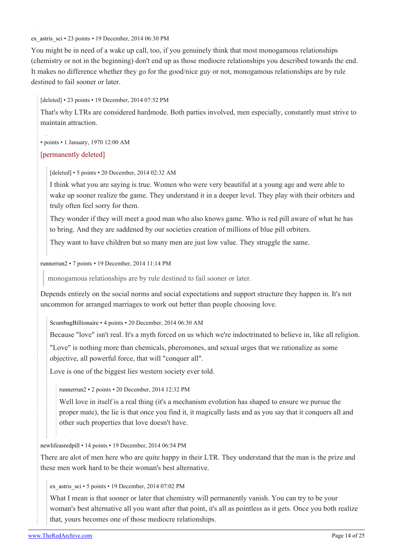ex astris sci • 23 points • 19 December, 2014 06:30 PM

You might be in need of a wake up call, too, if you genuinely think that most monogamous relationships (chemistry or not in the beginning) don't end up as those mediocre relationships you described towards the end. It makes no difference whether they go for the good/nice guy or not, monogamous relationships are by rule destined to fail sooner or later.

[deleted] • 23 points • 19 December, 2014 07:52 PM

That's why LTRs are considered hardmode. Both parties involved, men especially, constantly must strive to maintain attraction.

• points • 1 January, 1970 12:00 AM

## [permanently deleted]

[deleted] • 5 points • 20 December, 2014 02:32 AM

I think what you are saying is true. Women who were very beautiful at a young age and were able to wake up sooner realize the game. They understand it in a deeper level. They play with their orbiters and truly often feel sorry for them.

They wonder if they will meet a good man who also knows game. Who is red pill aware of what he has to bring. And they are saddened by our societies creation of millions of blue pill orbiters.

They want to have children but so many men are just low value. They struggle the same.

[runnerrun2](https://old.reddit.com/user/runnerrun2) • 7 points • 19 December, 2014 11:14 PM

monogamous relationships are by rule destined to fail sooner or later.

Depends entirely on the social norms and social expectations and support structure they happen in. It's not uncommon for arranged marriages to work out better than people choosing love.

[ScumbagBillionaire](https://old.reddit.com/user/ScumbagBillionaire) • 4 points • 20 December, 2014 06:30 AM

Because "love" isn't real. It's a myth forced on us which we're indoctrinated to believe in, like all religion.

"Love" is nothing more than chemicals, pheromones, and sexual urges that we rationalize as some objective, all powerful force, that will "conquer all".

Love is one of the biggest lies western society ever told.

[runnerrun2](https://old.reddit.com/user/runnerrun2) • 2 points • 20 December, 2014 12:32 PM

Well love in itself is a real thing (it's a mechanism evolution has shaped to ensure we pursue the proper mate), the lie is that once you find it, it magically lasts and as you say that it conquers all and other such properties that love doesn't have.

#### [newlifeasredpill](https://old.reddit.com/user/newlifeasredpill) • 14 points • 19 December, 2014 06:54 PM

There are alot of men here who are quite happy in their LTR. They understand that the man is the prize and these men work hard to be their woman's best alternative.

ex astris sci • 5 points • 19 December, 2014 07:02 PM

What I mean is that sooner or later that chemistry will permanently vanish. You can try to be your woman's best alternative all you want after that point, it's all as pointless as it gets. Once you both realize that, yours becomes one of those mediocre relationships.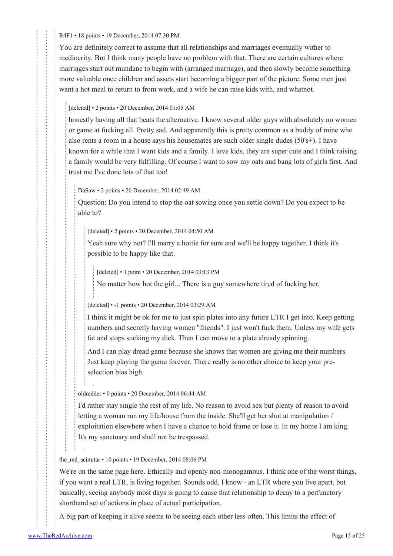#### [R4F1](https://old.reddit.com/user/R4F1) • 18 points • 19 December, 2014 07:30 PM

You are definitely correct to assume that all relationships and marriages eventually wither to mediocrity. But I think many people have no problem with that. There are certain cultures where marriages start out mundane to begin with (arranged marriage), and then slowly become something more valuable once children and assets start becoming a bigger part of the picture. Some men just want a hot meal to return to from work, and a wife he can raise kids with, and whatnot.

#### [deleted] • 2 points • 20 December, 2014 01:05 AM

honestly having all that beats the alternative. I know several older guys with absolutely no women or game at fucking all. Pretty sad. And apparently this is pretty common as a buddy of mine who also rents a room in a house says his housemates are such older single dudes (50's+). I have known for a while that I want kids and a family. I love kids, they are super cute and I think raising a family would be very fulfilling. Of course I want to sow my oats and bang lots of girls first. And trust me I've done lots of that too!

#### [DaSaw](https://old.reddit.com/user/DaSaw) • 2 points • 20 December, 2014 02:49 AM

Question: Do you intend to stop the oat sowing once you settle down? Do you expect to be able to?

[deleted] • 2 points • 20 December, 2014 04:50 AM

Yeah sure why not? I'll marry a hottie for sure and we'll be happy together. I think it's possible to be happy like that.

[deleted] • 1 point • 20 December, 2014 03:13 PM

No matter how hot the girl... There is a guy somewhere tired of fucking her.

[deleted] • -1 points • 20 December, 2014 03:29 AM

I think it might be ok for me to just spin plates into any future LTR I get into. Keep getting numbers and secretly having women "friends". I just won't fuck them. Unless my wife gets fat and stops sucking my dick. Then I can move to a plate already spinning.

And I can play dread game because she knows that women are giving me their numbers. Just keep playing the game forever. There really is no other choice to keep your preselection bias high.

## [oldredder](https://old.reddit.com/user/oldredder) • 0 points • 20 December, 2014 06:44 AM

I'd rather stay single the rest of my life. No reason to avoid sex but plenty of reason to avoid letting a woman run my life/house from the inside. She'll get her shot at manipulation / exploitation elsewhere when I have a chance to hold frame or lose it. In my home I am king. It's my sanctuary and shall not be trespassed.

## the red scimitar • 10 points • 19 December, 2014 08:06 PM

We're on the same page here. Ethically and openly non-monogamous. I think one of the worst things, if you want a real LTR, is living together. Sounds odd, I know - an LTR where you live apart, but basically, seeing anybody most days is going to cause that relationship to decay to a perfunctory shorthand set of actions in place of actual participation.

A big part of keeping it alive seems to be seeing each other less often. This limits the effect of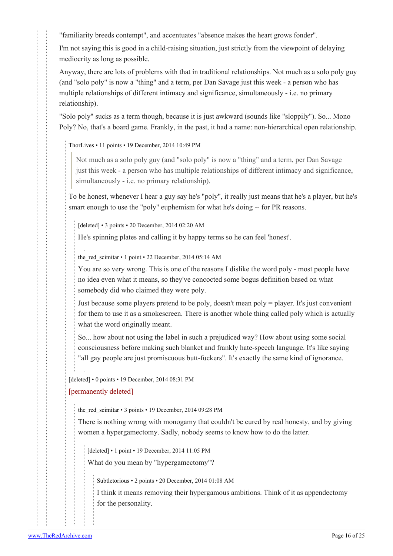"familiarity breeds contempt", and accentuates "absence makes the heart grows fonder".

I'm not saying this is good in a child-raising situation, just strictly from the viewpoint of delaying mediocrity as long as possible.

Anyway, there are lots of problems with that in traditional relationships. Not much as a solo poly guy (and "solo poly" is now a "thing" and a term, per Dan Savage just this week - a person who has multiple relationships of different intimacy and significance, simultaneously - i.e. no primary relationship).

"Solo poly" sucks as a term though, because it is just awkward (sounds like "sloppily"). So... Mono Poly? No, that's a board game. Frankly, in the past, it had a name: non-hierarchical open relationship.

[ThorLives](https://old.reddit.com/user/ThorLives) • 11 points • 19 December, 2014 10:49 PM

Not much as a solo poly guy (and "solo poly" is now a "thing" and a term, per Dan Savage just this week - a person who has multiple relationships of different intimacy and significance, simultaneously - i.e. no primary relationship).

To be honest, whenever I hear a guy say he's "poly", it really just means that he's a player, but he's smart enough to use the "poly" euphemism for what he's doing -- for PR reasons.

[deleted] • 3 points • 20 December, 2014 02:20 AM

He's spinning plates and calling it by happy terms so he can feel 'honest'.

[the\\_red\\_scimitar](https://old.reddit.com/user/the_red_scimitar) • 1 point • 22 December, 2014 05:14 AM

You are so very wrong. This is one of the reasons I dislike the word poly - most people have no idea even what it means, so they've concocted some bogus definition based on what somebody did who claimed they were poly.

Just because some players pretend to be poly, doesn't mean poly = player. It's just convenient for them to use it as a smokescreen. There is another whole thing called poly which is actually what the word originally meant.

So... how about not using the label in such a prejudiced way? How about using some social consciousness before making such blanket and frankly hate-speech language. It's like saying "all gay people are just promiscuous butt-fuckers". It's exactly the same kind of ignorance.

[deleted] • 0 points • 19 December, 2014 08:31 PM

## [permanently deleted]

the red scimitar • 3 points • 19 December, 2014 09:28 PM

There is nothing wrong with monogamy that couldn't be cured by real honesty, and by giving women a hypergamectomy. Sadly, nobody seems to know how to do the latter.

[deleted] • 1 point • 19 December, 2014 11:05 PM

What do you mean by "hypergamectomy"?

[Subtletorious](https://old.reddit.com/user/Subtletorious) • 2 points • 20 December, 2014 01:08 AM

I think it means removing their hypergamous ambitions. Think of it as appendectomy for the personality.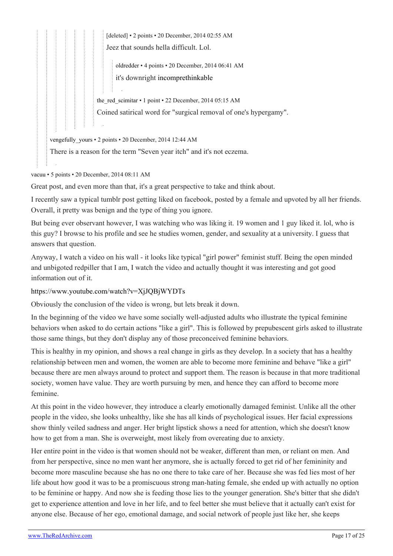[deleted] • 2 points • 20 December, 2014 02:55 AM Jeez that sounds hella difficult. Lol.

[oldredder](https://old.reddit.com/user/oldredder) • 4 points • 20 December, 2014 06:41 AM it's downright [incomprethinkable](http://imgur.com/wCRvInH,KZmLoBE#0)

the red scimitar • 1 point • 22 December, 2014 05:15 AM

Coined satirical word for "surgical removal of one's hypergamy".

vengefully yours • 2 points • 20 December, 2014 12:44 AM

There is a reason for the term "Seven year itch" and it's not eczema.

[vacuu](https://old.reddit.com/user/vacuu) • 5 points • 20 December, 2014 08:11 AM

Great post, and even more than that, it's a great perspective to take and think about.

I recently saw a typical tumblr post getting liked on facebook, posted by a female and upvoted by all her friends. Overall, it pretty was benign and the type of thing you ignore.

But being ever observant however, I was watching who was liking it. 19 women and 1 guy liked it. lol, who is this guy? I browse to his profile and see he studies women, gender, and sexuality at a university. I guess that answers that question.

Anyway, I watch a video on his wall - it looks like typical "girl power" feminist stuff. Being the open minded and unbigoted redpiller that I am, I watch the video and actually thought it was interesting and got good information out of it.

<https://www.youtube.com/watch?v=XjJQBjWYDTs>

Obviously the conclusion of the video is wrong, but lets break it down.

In the beginning of the video we have some socially well-adjusted adults who illustrate the typical feminine behaviors when asked to do certain actions "like a girl". This is followed by prepubescent girls asked to illustrate those same things, but they don't display any of those preconceived feminine behaviors.

This is healthy in my opinion, and shows a real change in girls as they develop. In a society that has a healthy relationship between men and women, the women are able to become more feminine and behave "like a girl" because there are men always around to protect and support them. The reason is because in that more traditional society, women have value. They are worth pursuing by men, and hence they can afford to become more feminine.

At this point in the video however, they introduce a clearly emotionally damaged feminist. Unlike all the other people in the video, she looks unhealthy, like she has all kinds of psychological issues. Her facial expressions show thinly veiled sadness and anger. Her bright lipstick shows a need for attention, which she doesn't know how to get from a man. She is overweight, most likely from overeating due to anxiety.

Her entire point in the video is that women should not be weaker, different than men, or reliant on men. And from her perspective, since no men want her anymore, she is actually forced to get rid of her femininity and become more masculine because she has no one there to take care of her. Because she was fed lies most of her life about how good it was to be a promiscuous strong man-hating female, she ended up with actually no option to be feminine or happy. And now she is feeding those lies to the younger generation. She's bitter that she didn't get to experience attention and love in her life, and to feel better she must believe that it actually can't exist for anyone else. Because of her ego, emotional damage, and social network of people just like her, she keeps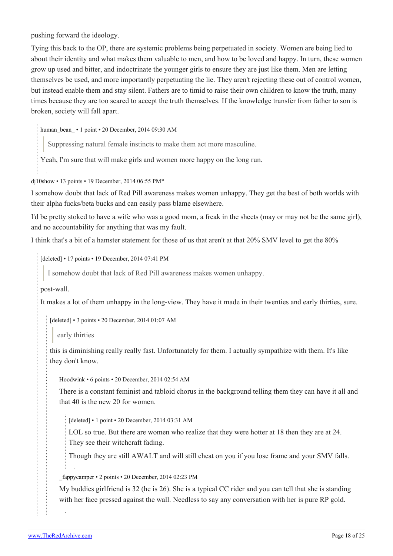pushing forward the ideology.

Tying this back to the OP, there are systemic problems being perpetuated in society. Women are being lied to about their identity and what makes them valuable to men, and how to be loved and happy. In turn, these women grow up used and bitter, and indoctrinate the younger girls to ensure they are just like them. Men are letting themselves be used, and more importantly perpetuating the lie. They aren't rejecting these out of control women, but instead enable them and stay silent. Fathers are to timid to raise their own children to know the truth, many times because they are too scared to accept the truth themselves. If the knowledge transfer from father to son is broken, society will fall apart.

human bean • 1 point • 20 December, 2014 09:30 AM

Suppressing natural female instincts to make them act more masculine.

Yeah, I'm sure that will make girls and women more happy on the long run.

[dj10show](https://old.reddit.com/user/dj10show) • 13 points • 19 December, 2014 06:55 PM\*

I somehow doubt that lack of Red Pill awareness makes women unhappy. They get the best of both worlds with their alpha fucks/beta bucks and can easily pass blame elsewhere.

I'd be pretty stoked to have a wife who was a good mom, a freak in the sheets (may or may not be the same girl), and no accountability for anything that was my fault.

I think that's a bit of a hamster statement for those of us that aren't at that 20% SMV level to get the 80%

[deleted] • 17 points • 19 December, 2014 07:41 PM

I somehow doubt that lack of Red Pill awareness makes women unhappy.

post-wall.

It makes a lot of them unhappy in the long-view. They have it made in their twenties and early thirties, sure.

[deleted] • 3 points • 20 December, 2014 01:07 AM

early thirties

this is diminishing really really fast. Unfortunately for them. I actually sympathize with them. It's like they don't know.

[Hoodwink](https://old.reddit.com/user/Hoodwink) • 6 points • 20 December, 2014 02:54 AM

There is a constant feminist and tabloid chorus in the background telling them they can have it all and that 40 is the new 20 for women.

[deleted] • 1 point • 20 December, 2014 03:31 AM

LOL so true. But there are women who realize that they were hotter at 18 then they are at 24. They see their witchcraft fading.

Though they are still AWALT and will still cheat on you if you lose frame and your SMV falls.

[\\_fappycamper](https://old.reddit.com/user/_fappycamper) • 2 points • 20 December, 2014 02:23 PM

My buddies girlfriend is 32 (he is 26). She is a typical CC rider and you can tell that she is standing with her face pressed against the wall. Needless to say any conversation with her is pure RP gold.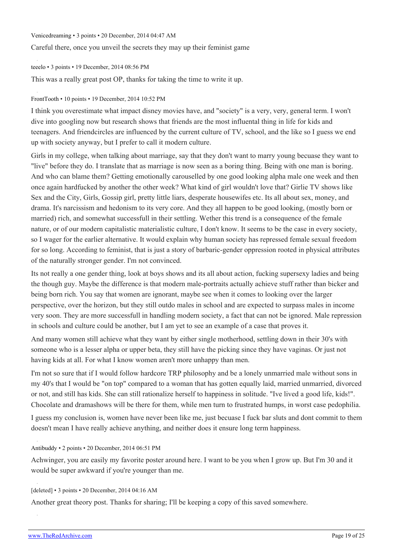[Venicedreaming](https://old.reddit.com/user/Venicedreaming) • 3 points • 20 December, 2014 04:47 AM

Careful there, once you unveil the secrets they may up their feminist game

#### [teeelo](https://old.reddit.com/user/teeelo) • 3 points • 19 December, 2014 08:56 PM

This was a really great post OP, thanks for taking the time to write it up.

#### [FrontTooth](https://old.reddit.com/user/FrontTooth) • 10 points • 19 December, 2014 10:52 PM

I think you overestimate what impact disney movies have, and "society" is a very, very, general term. I won't dive into googling now but research shows that friends are the most influental thing in life for kids and teenagers. And friendcircles are influenced by the current culture of TV, school, and the like so I guess we end up with society anyway, but I prefer to call it modern culture.

Girls in my college, when talking about marriage, say that they don't want to marry young becuase they want to "live" before they do. I translate that as marriage is now seen as a boring thing. Being with one man is boring. And who can blame them? Getting emotionally carouselled by one good looking alpha male one week and then once again hardfucked by another the other week? What kind of girl wouldn't love that? Girlie TV shows like Sex and the City, Girls, Gossip girl, pretty little liars, desperate housewifes etc. Its all about sex, money, and drama. It's narcissism and hedonism to its very core. And they all happen to be good looking, (mostly born or married) rich, and somewhat successfull in their settling. Wether this trend is a consequence of the female nature, or of our modern capitalistic materialistic culture, I don't know. It seems to be the case in every society, so I wager for the earlier alternative. It would explain why human society has repressed female sexual freedom for so long. According to feminist, that is just a story of barbaric-gender oppression rooted in physical attributes of the naturally stronger gender. I'm not convinced.

Its not really a one gender thing, look at boys shows and its all about action, fucking supersexy ladies and being the though guy. Maybe the difference is that modern male-portraits actually achieve stuff rather than bicker and being born rich. You say that women are ignorant, maybe see when it comes to looking over the larger perspective, over the horizon, but they still outdo males in school and are expected to surpass males in income very soon. They are more successfull in handling modern society, a fact that can not be ignored. Male repression in schools and culture could be another, but I am yet to see an example of a case that proves it.

And many women still achieve what they want by either single motherhood, settling down in their 30's with someone who is a lesser alpha or upper beta, they still have the picking since they have vaginas. Or just not having kids at all. For what I know women aren't more unhappy than men.

I'm not so sure that if I would follow hardcore TRP philosophy and be a lonely unmarried male without sons in my 40's that I would be "on top" compared to a woman that has gotten equally laid, married unmarried, divorced or not, and still has kids. She can still rationalize herself to happiness in solitude. "Ive lived a good life, kids!". Chocolate and dramashows will be there for them, while men turn to frustrated humps, in worst case pedophilia.

I guess my conclusion is, women have never been like me, just becuase I fuck bar sluts and dont commit to them doesn't mean I have really achieve anything, and neither does it ensure long term happiness.

[Antibuddy](https://old.reddit.com/user/Antibuddy) • 2 points • 20 December, 2014 06:51 PM

Achwinger, you are easily my favorite poster around here. I want to be you when I grow up. But I'm 30 and it would be super awkward if you're younger than me.

#### [deleted] • 3 points • 20 December, 2014 04:16 AM

Another great theory post. Thanks for sharing; I'll be keeping a copy of this saved somewhere.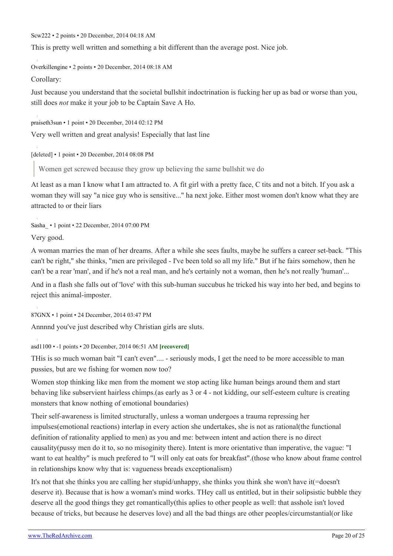[Scw222](https://old.reddit.com/user/Scw222) • 2 points • 20 December, 2014 04:18 AM

This is pretty well written and something a bit different than the average post. Nice job.

[Overkillengine](https://old.reddit.com/user/Overkillengine) • 2 points • 20 December, 2014 08:18 AM

Corollary:

Just because you understand that the societal bullshit indoctrination is fucking her up as bad or worse than you, still does *not* make it your job to be Captain Save A Ho.

[praiseth3sun](https://old.reddit.com/user/praiseth3sun) • 1 point • 20 December, 2014 02:12 PM Very well written and great analysis! Especially that last line

[deleted] • 1 point • 20 December, 2014 08:08 PM

Women get screwed because they grow up believing the same bullshit we do

At least as a man I know what I am attracted to. A fit girl with a pretty face, C tits and not a bitch. If you ask a woman they will say "a nice guy who is sensitive..." ha next joke. Either most women don't know what they are attracted to or their liars

[Sasha\\_](https://old.reddit.com/user/Sasha_) • 1 point • 22 December, 2014 07:00 PM Very good.

A woman marries the man of her dreams. After a while she sees faults, maybe he suffers a career set-back. "This can't be right," she thinks, "men are privileged - I've been told so all my life." But if he fairs somehow, then he can't be a rear 'man', and if he's not a real man, and he's certainly not a woman, then he's not really 'human'...

And in a flash she falls out of 'love' with this sub-human succubus he tricked his way into her bed, and begins to reject this animal-imposter.

[87GNX](https://old.reddit.com/user/87GNX) • 1 point • 24 December, 2014 03:47 PM

Annnnd you've just described why Christian girls are sluts.

[asd1100](https://old.reddit.com/user/asd1100) • -1 points • 20 December, 2014 06:51 AM **[recovered]**

THis is so much woman bait "I can't even".... - seriously mods, I get the need to be more accessible to man pussies, but are we fishing for women now too?

Women stop thinking like men from the moment we stop acting like human beings around them and start behaving like subservient hairless chimps.(as early as 3 or 4 - not kidding, our self-esteem culture is creating monsters that know nothing of emotional boundaries)

Their self-awareness is limited structurally, unless a woman undergoes a trauma repressing her impulses(emotional reactions) interlap in every action she undertakes, she is not as rational(the functional definition of rationality applied to men) as you and me: between intent and action there is no direct causality(pussy men do it to, so no misoginity there). Intent is more orientative than imperative, the vague: "I want to eat healthy" is much prefered to "I will only eat oats for breakfast".(those who know about frame control in relationships know why that is: vagueness breads exceptionalism)

It's not that she thinks you are calling her stupid/unhappy, she thinks you think she won't have it(=doesn't deserve it). Because that is how a woman's mind works. THey call us entitled, but in their solipsistic bubble they deserve all the good things they get romantically(this aplies to other people as well: that asshole isn't loved because of tricks, but because he deserves love) and all the bad things are other peoples/circumstantial(or like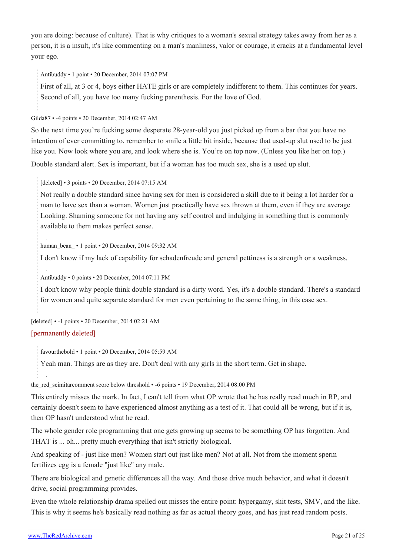you are doing: because of culture). That is why critiques to a woman's sexual strategy takes away from her as a person, it is a insult, it's like commenting on a man's manliness, valor or courage, it cracks at a fundamental level your ego.

[Antibuddy](https://old.reddit.com/user/Antibuddy) • 1 point • 20 December, 2014 07:07 PM

First of all, at 3 or 4, boys either HATE girls or are completely indifferent to them. This continues for years. Second of all, you have too many fucking parenthesis. For the love of God.

[Gilda87](https://old.reddit.com/user/Gilda87) • -4 points • 20 December, 2014 02:47 AM

So the next time you're fucking some desperate 28-year-old you just picked up from a bar that you have no intention of ever committing to, remember to smile a little bit inside, because that used-up slut used to be just like you. Now look where you are, and look where she is. You're on top now. (Unless you like her on top.)

Double standard alert. Sex is important, but if a woman has too much sex, she is a used up slut.

[deleted] • 3 points • 20 December, 2014 07:15 AM

Not really a double standard since having sex for men is considered a skill due to it being a lot harder for a man to have sex than a woman. Women just practically have sex thrown at them, even if they are average Looking. Shaming someone for not having any self control and indulging in something that is commonly available to them makes perfect sense.

[human\\_bean\\_](https://old.reddit.com/user/human_bean_) • 1 point • 20 December, 2014 09:32 AM

I don't know if my lack of capability for schadenfreude and general pettiness is a strength or a weakness.

[Antibuddy](https://old.reddit.com/user/Antibuddy) • 0 points • 20 December, 2014 07:11 PM

I don't know why people think double standard is a dirty word. Yes, it's a double standard. There's a standard for women and quite separate standard for men even pertaining to the same thing, in this case sex.

[deleted] • -1 points • 20 December, 2014 02:21 AM

## [permanently deleted]

[favourthebold](https://old.reddit.com/user/favourthebold) • 1 point • 20 December, 2014 05:59 AM

Yeah man. Things are as they are. Don't deal with any girls in the short term. Get in shape.

the red scimitarcomment score below threshold • -6 points • 19 December, 2014 08:00 PM

This entirely misses the mark. In fact, I can't tell from what OP wrote that he has really read much in RP, and certainly doesn't seem to have experienced almost anything as a test of it. That could all be wrong, but if it is, then OP hasn't understood what he read.

The whole gender role programming that one gets growing up seems to be something OP has forgotten. And THAT is ... oh... pretty much everything that isn't strictly biological.

And speaking of - just like men? Women start out just like men? Not at all. Not from the moment sperm fertilizes egg is a female "just like" any male.

There are biological and genetic differences all the way. And those drive much behavior, and what it doesn't drive, social programming provides.

Even the whole relationship drama spelled out misses the entire point: hypergamy, shit tests, SMV, and the like. This is why it seems he's basically read nothing as far as actual theory goes, and has just read random posts.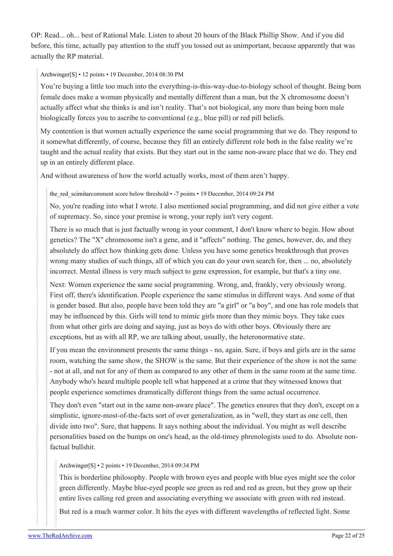OP: Read... oh... best of Rational Male. Listen to about 20 hours of the Black Phillip Show. And if you did before, this time, actually pay attention to the stuff you tossed out as unimportant, because apparently that was actually the RP material.

### [Archwinger](https://old.reddit.com/user/Archwinger)[\[S\]](https://theredarchive.com/r/TheRedPill/comments/2pt3j7/women_used_to_be_just_like_you/) • 12 points • 19 December, 2014 08:30 PM

You're buying a little too much into the everything-is-this-way-due-to-biology school of thought. Being born female does make a woman physically and mentally different than a man, but the X chromosome doesn't actually affect what she thinks is and isn't reality. That's not biological, any more than being born male biologically forces you to ascribe to conventional (e.g., blue pill) or red pill beliefs.

My contention is that women actually experience the same social programming that we do. They respond to it somewhat differently, of course, because they fill an entirely different role both in the false reality we're taught and the actual reality that exists. But they start out in the same non-aware place that we do. They end up in an entirely different place.

And without awareness of how the world actually works, most of them aren't happy.

the red scimitarcomment score below threshold • -7 points • 19 December, 2014 09:24 PM

No, you're reading into what I wrote. I also mentioned social programming, and did not give either a vote of supremacy. So, since your premise is wrong, your reply isn't very cogent.

There is so much that is just factually wrong in your comment, I don't know where to begin. How about genetics? The "X" chromosome isn't a gene, and it "affects" nothing. The genes, however, do, and they absolutely do affect how thinking gets done. Unless you have some genetics breakthrough that proves wrong many studies of such things, all of which you can do your own search for, then ... no, absolutely incorrect. Mental illness is very much subject to gene expression, for example, but that's a tiny one.

Next: Women experience the same social programming. Wrong, and, frankly, very obviously wrong. First off, there's identification. People experience the same stimulus in different ways. And some of that is gender based. But also, people have been told they are "a girl" or "a boy", and one has role models that may be influenced by this. Girls will tend to mimic girls more than they mimic boys. They take cues from what other girls are doing and saying, just as boys do with other boys. Obviously there are exceptions, but as with all RP, we are talking about, usually, the heteronormative state.

If you mean the environment presents the same things - no, again. Sure, if boys and girls are in the same room, watching the same show, the SHOW is the same. But their experience of the show is not the same - not at all, and not for any of them as compared to any other of them in the same room at the same time. Anybody who's heard multiple people tell what happened at a crime that they witnessed knows that people experience sometimes dramatically different things from the same actual occurrence.

They don't even "start out in the same non-aware place". The genetics ensures that they don't, except on a simplistic, ignore-most-of-the-facts sort of over generalization, as in "well, they start as one cell, then divide into two". Sure, that happens. It says nothing about the individual. You might as well describe personalities based on the bumps on one's head, as the old-timey phrenologists used to do. Absolute nonfactual bullshit.

## [Archwinger\[](https://old.reddit.com/user/Archwinger)[S](https://theredarchive.com/r/TheRedPill/comments/2pt3j7/women_used_to_be_just_like_you/)] • 2 points • 19 December, 2014 09:34 PM

This is borderline philosophy. People with brown eyes and people with blue eyes might see the color green differently. Maybe blue-eyed people see green as red and red as green, but they grow up their entire lives calling red green and associating everything we associate with green with red instead.

But red is a much warmer color. It hits the eyes with different wavelengths of reflected light. Some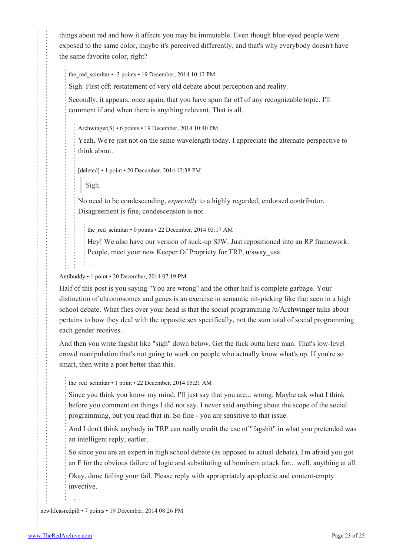things about red and how it affects you may be immutable. Even though blue-eyed people were exposed to the same color, maybe it's perceived differently, and that's why everybody doesn't have the same favorite color, right?

[the\\_red\\_scimitar](https://old.reddit.com/user/the_red_scimitar) • -3 points • 19 December, 2014 10:12 PM

Sigh. First off: restatement of very old debate about perception and reality.

Secondly, it appears, once again, that you have spun far off of any recognizable topic. I'll comment if and when there is anything relevant. That is all.

[Archwinger](https://old.reddit.com/user/Archwinger)[\[S\]](https://theredarchive.com/r/TheRedPill/comments/2pt3j7/women_used_to_be_just_like_you/) • 6 points • 19 December, 2014 10:40 PM

Yeah. We're just not on the same wavelength today. I appreciate the alternate perspective to think about.

[deleted] • 1 point • 20 December, 2014 12:38 PM

Sigh.

No need to be condescending, *especially* to a highly regarded, endorsed contributor. Disagreement is fine, condescension is not.

the red scimitar • 0 points • 22 December, 2014 05:17 AM

Hey! We also have our version of suck-up SJW. Just repositioned into an RP framework. People, meet your new Keeper Of Propriety for TRP, [u/sway\\_usa](https://theredarchive.com/u/sway_usa).

## [Antibuddy](https://old.reddit.com/user/Antibuddy) • 1 point • 20 December, 2014 07:19 PM

Half of this post is you saying "You are wrong" and the other half is complete garbage. Your distinction of chromosomes and genes is an exercise in semantic nit-picking like that seen in a high school debate. What flies over your head is that the social programming [/u/Archwinger](https://theredarchive.com/u/Archwinger) talks about pertains to how they deal with the opposite sex specifically, not the sum total of social programming each gender receives.

And then you write fagshit like "sigh" down below. Get the fuck outta here man. That's low-level crowd manipulation that's not going to work on people who actually know what's up. If you're so smart, then write a post better than this.

the red scimitar • 1 point • 22 December, 2014 05:21 AM

Since you think you know my mind, I'll just say that you are... wrong. Maybe ask what I think before you comment on things I did not say. I never said anything about the scope of the social programming, but you read that in. So fine - you are sensitive to that issue.

And I don't think anybody in TRP can really credit the use of "fagshit" in what you pretended was an intelligent reply, earlier.

So since you are an expert in high school debate (as opposed to actual debate), I'm afraid you got an F for the obvious failure of logic and substituting ad hominem attack for... well, anything at all.

Okay, done failing your fail. Please reply with appropriately apoplectic and content-empty invective.

[newlifeasredpill](https://old.reddit.com/user/newlifeasredpill) • 7 points • 19 December, 2014 08:26 PM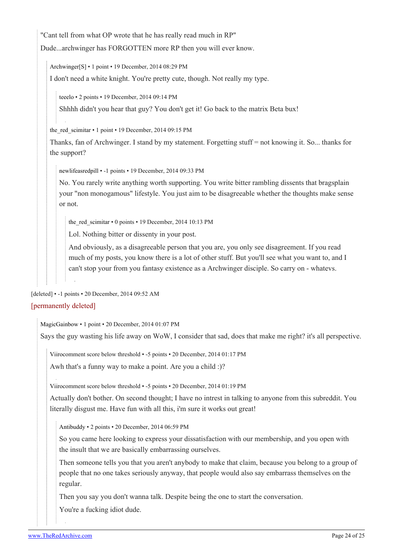"Cant tell from what OP wrote that he has really read much in RP"

Dude...archwinger has FORGOTTEN more RP then you will ever know.

[Archwinger\[](https://old.reddit.com/user/Archwinger)[S\]](https://theredarchive.com/r/TheRedPill/comments/2pt3j7/women_used_to_be_just_like_you/) • 1 point • 19 December, 2014 08:29 PM

I don't need a white knight. You're pretty cute, though. Not really my type.

[teeelo](https://old.reddit.com/user/teeelo) • 2 points • 19 December, 2014 09:14 PM

Shhhh didn't you hear that guy? You don't get it! Go back to the matrix Beta bux!

[the\\_red\\_scimitar](https://old.reddit.com/user/the_red_scimitar) • 1 point • 19 December, 2014 09:15 PM

Thanks, fan of Archwinger. I stand by my statement. Forgetting stuff = not knowing it. So... thanks for the support?

[newlifeasredpill](https://old.reddit.com/user/newlifeasredpill) • -1 points • 19 December, 2014 09:33 PM

No. You rarely write anything worth supporting. You write bitter rambling dissents that bragsplain your "non monogamous" lifestyle. You just aim to be disagreeable whether the thoughts make sense or not.

[the\\_red\\_scimitar](https://old.reddit.com/user/the_red_scimitar) • 0 points • 19 December, 2014 10:13 PM

Lol. Nothing bitter or dissenty in your post.

And obviously, as a disagreeable person that you are, you only see disagreement. If you read much of my posts, you know there is a lot of other stuff. But you'll see what you want to, and I can't stop your from you fantasy existence as a Archwinger disciple. So carry on - whatevs.

[deleted] • -1 points • 20 December, 2014 09:52 AM

## [permanently deleted]

[MagicGainbow](https://old.reddit.com/user/MagicGainbow) • 1 point • 20 December, 2014 01:07 PM

Says the guy wasting his life away on WoW, I consider that sad, does that make me right? it's all perspective.

[Viiro](https://old.reddit.com/user/Viiro)comment score below threshold • -5 points • 20 December, 2014 01:17 PM

Awh that's a funny way to make a point. Are you a child :)?

[Viiro](https://old.reddit.com/user/Viiro)comment score below threshold • -5 points • 20 December, 2014 01:19 PM

Actually don't bother. On second thought; I have no intrest in talking to anyone from this subreddit. You literally disgust me. Have fun with all this, i'm sure it works out great!

[Antibuddy](https://old.reddit.com/user/Antibuddy) • 2 points • 20 December, 2014 06:59 PM

So you came here looking to express your dissatisfaction with our membership, and you open with the insult that we are basically embarrassing ourselves.

Then someone tells you that you aren't anybody to make that claim, because you belong to a group of people that no one takes seriously anyway, that people would also say embarrass themselves on the regular.

Then you say you don't wanna talk. Despite being the one to start the conversation.

You're a fucking idiot dude.